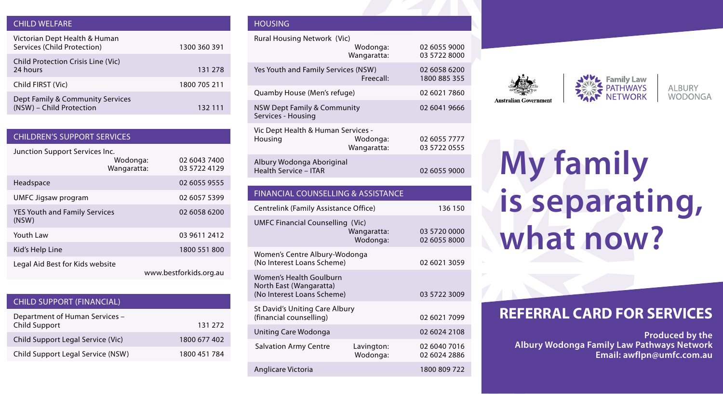#### CHILD WELFARE

| Victorian Dept Health & Human<br>Services (Child Protection) | 1300 360 391 |
|--------------------------------------------------------------|--------------|
| Child Protection Crisis Line (Vic)<br>24 hours               | 131 278      |
| Child FIRST (Vic)                                            | 1800 705 211 |
| Dept Family & Community Services<br>(NSW) - Child Protection | 132 111      |

| <b>CHILDREN'S SUPPORT SERVICES</b>            |                         |                              |
|-----------------------------------------------|-------------------------|------------------------------|
| Junction Support Services Inc.                | Wodonga:<br>Wangaratta: | 02 6043 7400<br>03 5722 4129 |
| Headspace                                     |                         | 02 6055 9555                 |
| <b>UMFC Jigsaw program</b>                    |                         | 02 6057 5399                 |
| <b>YES Youth and Family Services</b><br>(NSW) |                         | 02 6058 6200                 |
| Youth Law                                     |                         | 03 9611 2412                 |
| Kid's Help Line                               |                         | 1800 551 800                 |
| Legal Aid Best for Kids website               |                         | www.bestforkids.org.au       |

| <b>CHILD SUPPORT (FINANCIAL)</b>                       |              |
|--------------------------------------------------------|--------------|
| Department of Human Services -<br><b>Child Support</b> | 131 272      |
| Child Support Legal Service (Vic)                      | 1800 677 402 |
| Child Support Legal Service (NSW)                      | 1800 451 784 |

### HOUSING

| Rural Housing Network (Vic)                                                      | Wodonga:<br>Wangaratta: | 02 6055 9000<br>03 5722 8000 |  |
|----------------------------------------------------------------------------------|-------------------------|------------------------------|--|
| Yes Youth and Family Services (NSW)                                              | Freecall:               | 02 6058 6200<br>1800 885 355 |  |
| Ouamby House (Men's refuge)                                                      |                         | 02 6021 7860                 |  |
| <b>NSW Dept Family &amp; Community</b><br>Services - Housing                     |                         | 02 6041 9666                 |  |
| Vic Dept Health & Human Services -<br>Housing                                    | Wodonga:<br>Wangaratta: | 02 6055 7777<br>03 5722 0555 |  |
| Albury Wodonga Aboriginal<br><b>Health Service - ITAR</b>                        |                         | 02 6055 9000                 |  |
| <b>FINANCIAL COUNSELLING &amp; ASSISTANCE</b>                                    |                         |                              |  |
| Centrelink (Family Assistance Office)<br>136 150                                 |                         |                              |  |
|                                                                                  |                         |                              |  |
| <b>UMFC Financial Counselling (Vic)</b>                                          | Wangaratta:<br>Wodonga: | 03 5720 0000<br>02 6055 8000 |  |
| Women's Centre Albury-Wodonga<br>(No Interest Loans Scheme)                      |                         | 02 6021 3059                 |  |
| Women's Health Goulburn<br>North East (Wangaratta)<br>(No Interest Loans Scheme) |                         | 03 5722 3009                 |  |
| St David's Uniting Care Albury<br>(financial counselling)                        |                         | 02 6021 7099                 |  |
| Uniting Care Wodonga                                                             |                         | 02 6024 2108                 |  |
| <b>Salvation Army Centre</b>                                                     | Lavington:<br>Wodonga:  | 02 6040 7016<br>02 6024 2886 |  |





AI RURY **WODONGA** 

# **My family is separating, what now?**

## **REFERRAL CARD FOR SERVICES**

**Produced by the Albury Wodonga Family Law Pathways Network Email: awflpn@umfc.com.au**